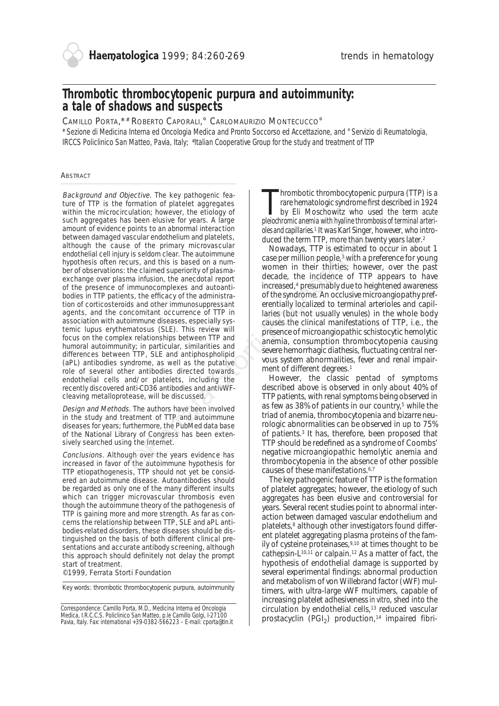# **Thrombotic thrombocytopenic purpura and autoimmunity: a tale of shadows and suspects**

CAMILLO PORTA,\*# ROBERTO CAPORALI,° CARLOMAURIZIO MONTECUCCO°

*\*Sezione di Medicina Interna ed Oncologia Medica and Pronto Soccorso ed Accettazione, and °Servizio di Reumatologia, IRCCS Policlinico San Matteo, Pavia, Italy; #Italian Cooperative Group for the study and treatment of TTP*

# **ABSTRACT**

Background and Objective. The key pathogenic feature of TTP is the formation of platelet aggregates within the microcirculation; however, the etiology of such aggregates has been elusive for years. A large amount of evidence points to an abnormal interaction between damaged vascular endothelium and platelets, although the cause of the primary microvascular endothelial cell injury is seldom clear. The autoimmune hypothesis often recurs, and this is based on a number of observations: the claimed superiority of plasmaexchange over plasma infusion, the anecdotal report of the presence of immunocomplexes and autoantibodies in TTP patients, the efficacy of the administration of corticosteroids and other immunosuppressant agents, and the concomitant occurrence of TTP in association with autoimmune diseases, especially systemic lupus erythematosus (SLE). This review will focus on the complex relationships between TTP and humoral autoimmunity; in particular, similarities and differences between TTP, SLE and antiphospholipid (aPL) antibodies syndrome, as well as the putative role of several other antibodies directed towards endothelial cells and/or platelets, including the recently discovered anti-CD36 antibodies and antivWFcleaving metalloprotease, will be discussed. and rendthelium and platelets,<br>
exact en the primary microvascular<br>
y is seldom clear. The autoimnume<br>
the claim is based on a num-<br>
may in the claim subset of plasma-<br>
may intervention of plasma-<br>
may intervention of plas

Design and Methods. The authors have been involved in the study and treatment of TTP and autoimmune diseases for years; furthermore, the PubMed data base of the National Library of Congress has been extensively searched using the Internet.

Conclusions. Although over the years evidence has increased in favor of the autoimmune hypothesis for TTP etiopathogenesis, TTP should not yet be considered an autoimmune disease. Autoantibodies should be regarded as only one of the many different insults which can trigger microvascular thrombosis even though the autoimmune theory of the pathogenesis of TTP is gaining more and more strength. As far as concerns the relationship between TTP, SLE and aPL antibodies-related disorders, these diseases should be distinguished on the basis of both different clinical presentations and accurate antibody screening, although this approach should definitely not delay the prompt start of treatment.

©1999, Ferrata Storti Foundation

Key words: thrombotic thrombocytopenic purpura, autoimmunity

*Correspondence: Camillo Porta, M.D., Medicina Interna ed Oncologia Medica, I.R.C.C.S. Policlinico San Matteo, p.le Camillo Golgi, I-27100 Pavia, Italy. Fax: international +39-0382-566223 – E-mail: cporta@tin.it*

Thrombotic thrombocytopenic purpura (TTP) is a<br>transformation of the term acute<br>beiochromic anemia with hyaline thrombosis of terminal arteri-<br>pleiochromic anemia with hyaline thrombosis of terminal arterirare hematologic syndrome first described in 1924 by Eli Moschowitz who used the term *acute pleiochromic anemia with hyaline thrombosis of terminal arterioles and capillaries.*<sup>1</sup> It was Karl Singer, however, who introduced the term TTP, more than twenty years later.2

Nowadays, TTP is estimated to occur in about 1 case per million people,<sup>3</sup> with a preference for young women in their thirties; however, over the past decade, the incidence of TTP appears to have increased,4 presumably due to heightened awareness of the syndrome. An occlusive microangiopathy preferentially localized to terminal arterioles and capillaries (but not usually venules) in the whole body causes the clinical manifestations of TTP, i.e., the presence of microangiopathic schistocytic hemolytic anemia, consumption thrombocytopenia causing severe hemorrhagic diathesis, fluctuating central nervous system abnormalities, fever and renal impairment of different degrees.<sup>1</sup>

However, the classic pentad of symptoms described above is observed in only about 40% of TTP patients, with renal symptoms being observed in as few as 38% of patients in our country,5 while the triad of anemia, thrombocytopenia and bizarre neurologic abnormalities can be observed in up to 75% of patients.<sup>3</sup> It has, therefore, been proposed that TTP should be redefined as a syndrome of Coombs' negative microangiopathic hemolytic anemia and thrombocytopenia in the absence of other possible causes of these manifestations.6,7

The key pathogenic feature of TTP is the formation of platelet aggregates; however, the etiology of such aggregates has been elusive and controversial for years. Several recent studies point to abnormal interaction between damaged vascular endothelium and platelets,<sup>8</sup> although other investigators found different platelet aggregating plasma proteins of the family of cysteine proteinases,9,10 at times thought to be cathepsin-L $10,11$  or calpain.<sup>12</sup> As a matter of fact, the hypothesis of endothelial damage is supported by several experimental findings: abnormal production and metabolism of von Willebrand factor (vWF) multimers, with ultra-large vWF multimers, capable of increasing platelet adhesiveness*in vitro*, shed into the circulation by endothelial cells,13 reduced vascular prostacyclin  $(PGI_2)$  production,<sup>14</sup> impaired fibri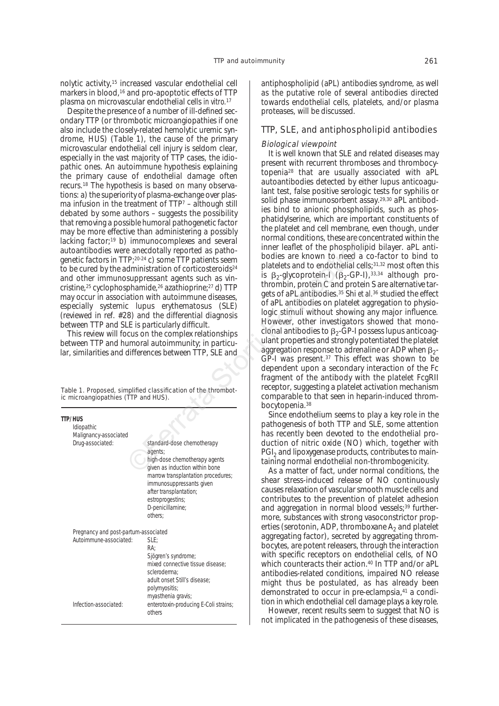nolytic activity,15 increased vascular endothelial cell markers in blood,<sup>16</sup> and pro-apoptotic effects of TTP plasma on microvascular endothelial cells *in vitro.*<sup>17</sup>

Despite the presence of a number of ill-defined secondary TTP (or thrombotic microangiopathies if one also include the closely-related hemolytic uremic syndrome, HUS) (Table 1), the cause of the primary microvascular endothelial cell injury is seldom clear, especially in the vast majority of TTP cases, the idiopathic ones. An autoimmune hypothesis explaining the primary cause of endothelial damage often recurs.18 The hypothesis is based on many observations: a) the superiority of plasma-exchange over plasma infusion in the treatment of TTP7 – although still debated by some authors – suggests the possibility that removing a possible humoral pathogenetic factor may be more effective than administering a possibly lacking factor;<sup>19</sup> b) immunocomplexes and several autoantibodies were anecdotally reported as pathogenetic factors in TTP;20-24 c) some TTP patients seem to be cured by the administration of corticosteroids<sup>24</sup> and other immunosuppressant agents such as vincristine,25 cyclophosphamide,26 azathioprine;27 d) TTP may occur in association with autoimmune diseases, especially systemic lupus erythematosus (SLE) (reviewed in ref. #28) and the differential diagnosis between TTP and SLE is particularly difficult.

This review will focus on the complex relationships between TTP and humoral autoimmunity; in particular, similarities and differences between TTP, SLE and

Table 1. Proposed, simplified classification of the thrombotic microangiopathies (TTP and HUS).

| <b>TTP/HIIS</b><br>Idiopathic<br>Malignancy-associated |                                                                                                                                                                                                                                                         |  |
|--------------------------------------------------------|---------------------------------------------------------------------------------------------------------------------------------------------------------------------------------------------------------------------------------------------------------|--|
| Drug-associated:                                       | standard-dose chemotherapy<br>agents;<br>high-dose chemotherapy agents<br>given as induction within bone<br>marrow transplantation procedures;<br>immunosuppressants given<br>after transplantation;<br>estroprogestins;<br>D-penicillamine;<br>others: |  |
| Pregnancy and post-partum-associated                   |                                                                                                                                                                                                                                                         |  |
| Autoimmune-associated:                                 | SLE:<br>RA:<br>Sjögren's syndrome;<br>mixed connective tissue disease:<br>scleroderma:<br>adult onset Still's disease:<br>polymyositis;<br>myasthenia gravis;                                                                                           |  |
| Infection-associated:                                  | enterotoxin-producing E-Coli strains;<br>others                                                                                                                                                                                                         |  |

antiphospholipid (aPL) antibodies syndrome, as well as the putative role of several antibodies directed towards endothelial cells, platelets, and/or plasma proteases, will be discussed.

# TTP, SLE, and antiphospholipid antibodies

# Biological viewpoint

It is well known that SLE and related diseases may present with recurrent thromboses and thrombocytopenia28 that are usually associated with aPL autoantibodies detected by either lupus anticoagulant test, false positive serologic tests for syphilis or solid phase immunosorbent assay.29,30 aPL antibodies bind to anionic phospholipids, such as phosphatidylserine, which are important constituents of the platelet and cell membrane, even though, under normal conditions, these are concentrated within the inner leaflet of the phospholipid bilayer. aPL antibodies are known to need a co-factor to bind to platelets and to endothelial cells;31,32 most often this is  $\beta_2$ -glycoprotein-I ( $\beta_2$ -GP-I), 33,34 although prothrombin, protein C and protein S are alternative targets of aPL antibodies.35 Shi *et al.*<sup>36</sup> studied the effect of aPL antibodies on platelet aggregation to physiologic stimuli without showing any major influence. However, other investigators showed that monoclonal antibodies to  $\beta_2$ -GP-I possess lupus anticoagulant properties and strongly potentiated the platelet aggregation response to adrenaline or ADP when  $\beta_{2}$ -GP-I was present.37 This effect was shown to be dependent upon a secondary interaction of the Fc fragment of the antibody with the platelet FcgRII receptor, suggesting a platelet activation mechanism comparable to that seen in heparin-induced thrombocytopenia.38 Frequencies)<br>
and the metalling storting and the phosphoron and the photon of continuous and several<br>
and the proposition of corticosteroids<sup>24</sup> boldies are known to need a c<br>
and ministration of corticosteroids<sup>24</sup> boldi

Since endothelium seems to play a key role in the pathogenesis of both TTP and SLE, some attention has recently been devoted to the endothelial production of nitric oxide (NO) which, together with PGI<sub>2</sub> and lipoxygenase products, contributes to maintaining normal endothelial non-thrombogenicity.

As a matter of fact, under normal conditions, the shear stress-induced release of NO continuously causes relaxation of vascular smooth muscle cells and contributes to the prevention of platelet adhesion and aggregation in normal blood vessels;<sup>39</sup> furthermore, substances with strong vasoconstrictor properties (serotonin, ADP, thromboxane  $A_2$  and platelet aggregating factor), secreted by aggregating thrombocytes, are potent releasers, through the interaction with specific receptors on endothelial cells, of NO which counteracts their action.40 In TTP and/or aPL antibodies-related conditions, impaired NO release might thus be postulated, as has already been demonstrated to occur in pre-eclampsia,41 a condition in which endothelial cell damage plays a key role.

However, recent results seem to suggest that NO is not implicated in the pathogenesis of these diseases,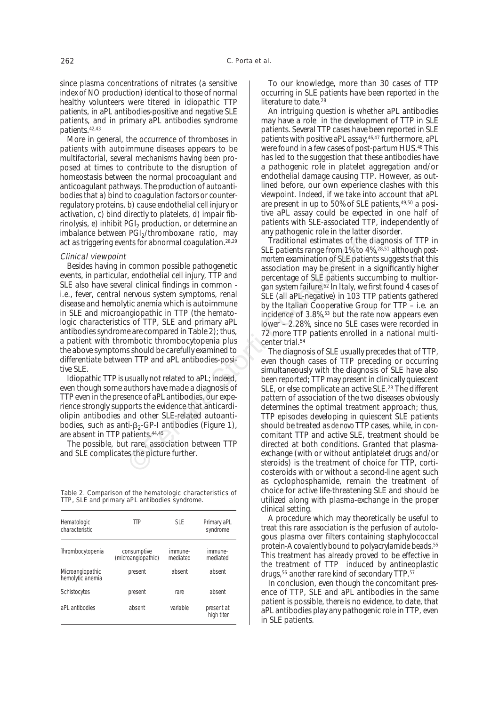since plasma concentrations of nitrates (a sensitive index of NO production) identical to those of normal healthy volunteers were titered in idiopathic TTP patients, in aPL antibodies-positive and negative SLE patients, and in primary aPL antibodies syndrome patients.42,43

More in general, the occurrence of thromboses in patients with autoimmune diseases appears to be multifactorial, several mechanisms having been proposed at times to contribute to the disruption of homeostasis between the normal procoagulant and anticoagulant pathways. The production of autoantibodies that a) bind to coagulation factors or counterregulatory proteins, b) cause endothelial cell injury or activation, c) bind directly to platelets, d) impair fibrinolysis, e) inhibit  $PGI<sub>2</sub>$  production, or determine an imbalance between PGI<sub>2</sub>/thromboxane ratio, may act as triggering events for abnormal coagulation.<sup>28,29</sup>

#### Clinical viewpoint

Besides having in common possible pathogenetic events, in particular, endothelial cell injury, TTP and SLE also have several clinical findings in common i.e., fever, central nervous system symptoms, renal disease and hemolytic anemia which is autoimmune in SLE and microangiopathic in TTP (the hematologic characteristics of TTP, SLE and primary aPL antibodies syndrome are compared in Table 2); thus, a patient with thrombotic thrombocytopenia plus the above symptoms should be carefully examined to differentiate between TTP and aPL antibodies-positive SLE.

Idiopathic TTP is usually not related to aPL; indeed, even though some authors have made a diagnosis of TTP even in the presence of aPL antibodies, our experience strongly supports the evidence that anticardiolipin antibodies and other SLE-related autoantibodies, such as anti- $\beta_2$ -GP-I antibodies (Figure 1), are absent in TTP patients.44,45

The possible, but rare, association between TTP and SLE complicates the picture further.

Table 2. Comparison of the hematologic characteristics of TTP, SLE and primary aPL antibodies syndrome.

| Hematologic<br>characteristic        | TТP                               | SI F                | Primary aPL<br>syndrome  |
|--------------------------------------|-----------------------------------|---------------------|--------------------------|
| Thrombocytopenia                     | consumptive<br>(microangiopathic) | immune-<br>mediated | immune-<br>mediated      |
| Microangiopathic<br>hemolytic anemia | present                           | absent              | absent                   |
| Schistocytes                         | present                           | rare                | absent                   |
| aPL antibodies                       | absent                            | variable            | present at<br>high titer |

To our knowledge, more than 30 cases of TTP occurring in SLE patients have been reported in the literature to date.<sup>28</sup>

An intriguing question is whether aPL antibodies may have a role in the development of TTP in SLE patients. Several TTP cases have been reported in SLE patients with positive aPL assay;46,47 furthermore, aPL were found in a few cases of post-partum HUS.48 This has led to the suggestion that these antibodies have a pathogenic role in platelet aggregation and/or endothelial damage causing TTP. However, as outlined before, our own experience clashes with this viewpoint. Indeed, if we take into account that aPL are present in up to 50% of SLE patients,49,50 a positive aPL assay could be expected in one half of patients with SLE-associated TTP, independently of any pathogenic role in the latter disorder.

Traditional estimates of the diagnosis of TTP in SLE patients range from 1% to 4%,28,51 although *postmortem* examination of SLE patients suggests that this association may be present in a significantly higher percentage of SLE patients succumbing to multiorgan system failure.52 In Italy, we first found 4 cases of SLE (all aPL-negative) in 103 TTP patients gathered by the Italian Cooperative Group for TTP – i.e. an incidence of 3.8%,<sup>53</sup> but the rate now appears even lower – 2.28%, since no SLE cases were recorded in 72 more TTP patients enrolled in a national multicenter trial.<sup>54</sup>

The diagnosis of SLE usually precedes that of TTP, even though cases of TTP preceding or occurring simultaneously with the diagnosis of SLE have also been reported; TTP may present in clinically quiescent SLE, or else complicate an active SLE.28 The different pattern of association of the two diseases obviously determines the optimal treatment approach; thus, TTP episodes developing in quiescent SLE patients should be treated as *de novo* TTP cases, while, in concomitant TTP and active SLE, treatment should be directed at both conditions. Granted that plasmaexchange (with or without antiplatelet drugs and/or steroids) is the treatment of choice for TTP, corticosteroids with or without a second-line agent such as cyclophosphamide, remain the treatment of choice for active life-threatening SLE and should be utilized along with plasma-exchange in the proper clinical setting. Firsthemosomer Transformation and control and common possible pathographic and common possible pathographic association may be present in a clinical findings in common possible pathographic and clinical findings in common

> A procedure which may theoretically be useful to treat this rare association is the perfusion of autologous plasma over filters containing staphylococcal protein-A covalently bound to polyacrylamide beads.55 This treatment has already proved to be effective in the treatment of TTP induced by antineoplastic drugs,56 another rare kind of secondary TTP.57

> In conclusion, even though the concomitant presence of TTP, SLE and aPL antibodies in the same patient is possible, there is no evidence, to date, that aPL antibodies play any pathogenic role in TTP, even in SLE patients.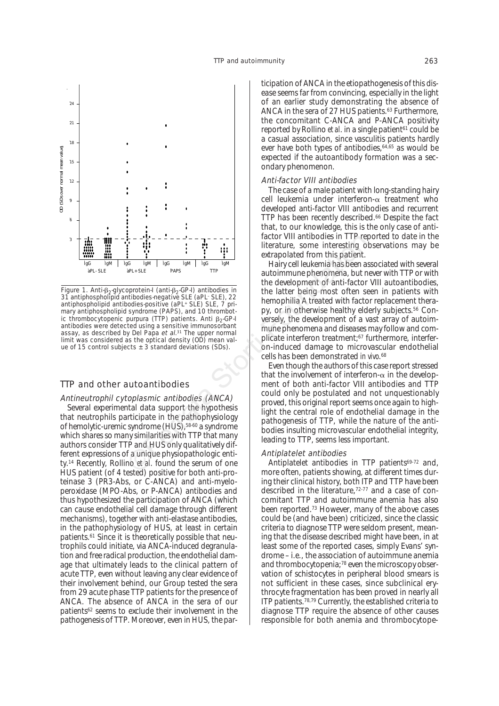

Figure 1. Anti- $\beta_2$ -glycoprotein-I (anti- $\beta_2$ -GP-I) antibodies in 31 antiphospholipid antibodies-negative SLE (aPL– SLE), 22 antiphospholipid antibodies-positive (aPL+ SLE) SLE, 7 primary antiphospholipid syndrome (PAPS), and 10 thrombotic thrombocytopenic purpura (TTP) patients. Anti  $\beta_2$ -GP-I antibodies were detected using a sensitive immunosorbant assay, as described by Del Papa et al.<sup>31</sup> The upper normal limit was considered as the optical density (OD) mean value of 15 control subjects  $\pm$  3 standard deviations (SDs).

## TTP and other autoantibodies

# Antineutrophil cytoplasmic antibodies (ANCA)

Several experimental data support the hypothesis that neutrophils participate in the pathophysiology of hemolytic-uremic syndrome (HUS),<sup>58-60</sup> a syndrome which shares so many similarities with TTP that many authors consider TTP and HUS only qualitatively different expressions of a unique physiopathologic entity.14 Recently, Rollino *et al*. found the serum of one HUS patient (of 4 tested) positive for both anti-proteinase 3 (PR3-Abs, or C-ANCA) and anti-myeloperoxidase (MPO-Abs, or P-ANCA) antibodies and thus hypothesized the participation of ANCA (which can cause endothelial cell damage through different mechanisms), together with anti-elastase antibodies, in the pathophysiology of HUS, at least in certain patients.61 Since it is theoretically possible that neutrophils could initiate, via ANCA-induced degranulation and free radical production, the endothelial damage that ultimately leads to the clinical pattern of acute TTP, even without leaving any clear evidence of their involvement behind, our Group tested the sera from 29 acute phase TTP patients for the presence of ANCA. The absence of ANCA in the sera of our patients62 seems to exclude their involvement in the pathogenesis of TTP. Moreover, even in HUS, the participation of ANCA in the etiopathogenesis of this disease seems far from convincing, especially in the light of an earlier study demonstrating the absence of ANCA in the sera of 27 HUS patients.<sup>63</sup> Furthermore, the concomitant C-ANCA and P-ANCA positivity reported by Rollino *et al.* in a single patient<sup>61</sup> could be a casual association, since vasculitis patients hardly ever have both types of antibodies, <sup>64,65</sup> as would be expected if the autoantibody formation was a secondary phenomenon.

#### Anti-factor VIII antibodies

The case of a male patient with long-standing hairy cell leukemia under interferon- $\alpha$  treatment who developed anti-factor VIII antibodies and recurrent TTP has been recently described.66 Despite the fact that, to our knowledge, this is the only case of antifactor VIII antibodies in TTP reported to date in the literature, some interesting observations may be extrapolated from this patient.

Hairy cell leukemia has been associated with several autoimmune phenomena, but never with TTP or with the development of anti-factor VIII autoantibodies, the latter being most often seen in patients with hemophilia A treated with factor replacement therapy, or in otherwise healthy elderly subjects.56 Conversely, the development of a vast array of autoimmune phenomena and diseases may follow and complicate interferon treatment;67 furthermore, interferon-induced damage to microvascular endothelial cells has been demonstrated *in vivo*. 68 From Firstnam and the strain of the three transforms of the three transforms and the strain of the development of anti-space of the development of anti-space and the development of anti-space and the development of anti-s

Even though the authors of this case report stressed that the involvement of interferon- $\alpha$  in the development of both anti-factor VIII antibodies and TTP could only be postulated and not unquestionably proved, this original report seems once again to highlight the central role of endothelial damage in the pathogenesis of TTP, while the nature of the antibodies insulting microvascular endothelial integrity, leading to TTP, seems less important.

#### Antiplatelet antibodies

Antiplatelet antibodies in TTP patients<sup>69-72</sup> and, more often, patients showing, at different times during their clinical history, both ITP and TTP have been described in the literature,<sup>72-77</sup> and a case of concomitant TTP and autoimmune anemia has also been reported.73 However, many of the above cases could be (and have been) criticized, since the classic criteria to diagnose TTP were seldom present, meaning that the disease described might have been, in at least some of the reported cases, simply Evans' syndrome – i.e., the association of autoimmune anemia and thrombocytopenia;<sup>78</sup> even the microscopy observation of schistocytes in peripheral blood smears is not sufficient in these cases, since subclinical erythrocyte fragmentation has been proved in nearly all ITP patients.78,79 Currently, the established criteria to diagnose TTP require the absence of other causes responsible for both anemia and thrombocytope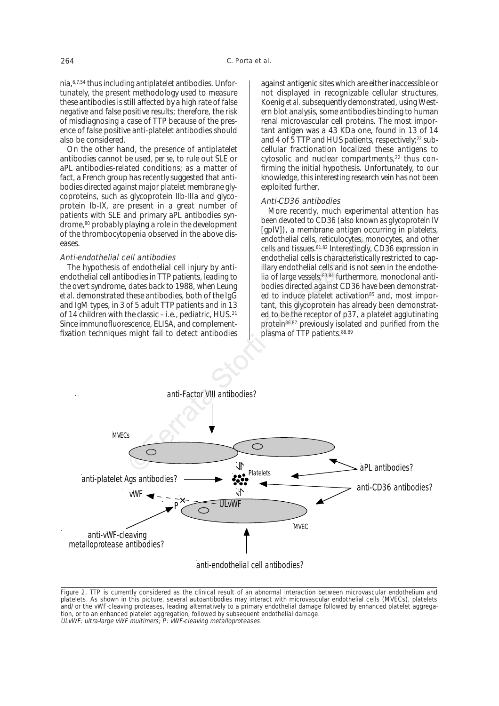nia,6,7,54 thus including antiplatelet antibodies. Unfortunately, the present methodology used to measure these antibodies is still affected by a high rate of false negative and false positive results; therefore, the risk of misdiagnosing a case of TTP because of the presence of false positive anti-platelet antibodies should also be considered.

On the other hand, the presence of antiplatelet antibodies cannot be used, *per se*, to rule out SLE or aPL antibodies-related conditions; as a matter of fact, a French group has recently suggested that antibodies directed against major platelet membrane glycoproteins, such as glycoprotein IIb-IIIa and glycoprotein Ib-IX, are present in a great number of patients with SLE and primary aPL antibodies syndrome,80 probably playing a role in the development of the thrombocytopenia observed in the above diseases.

#### Anti-endothelial cell antibodies

The hypothesis of endothelial cell injury by antiendothelial cell antibodies in TTP patients, leading to the overt syndrome, dates back to 1988, when Leung *et al*. demonstrated these antibodies, both of the IgG and IgM types, in 3 of 5 adult TTP patients and in 13 of 14 children with the classic – i.e., pediatric, HUS.21 Since immunofluorescence, ELISA, and complementfixation techniques might fail to detect antibodies against antigenic sites which are either inaccessible or not displayed in recognizable cellular structures, Koenig *et al.*subsequently demonstrated, using Western blot analysis, some antibodies binding to human renal microvascular cell proteins. The most important antigen was a 43 KDa one, found in 13 of 14 and 4 of 5 TTP and HUS patients, respectively;<sup>22</sup> subcellular fractionation localized these antigens to cytosolic and nuclear compartments,<sup>22</sup> thus confirming the initial hypothesis. Unfortunately, to our knowledge, this interesting research vein has not been exploited further.

## Anti-CD36 antibodies

More recently, much experimental attention has been devoted to CD36 (also known as glycoprotein IV [gpIV]), a membrane antigen occurring in platelets, endothelial cells, reticulocytes, monocytes, and other cells and tissues.81,82 Interestingly, CD36 expression in endothelial cells is characteristically restricted to capillary endothelial cells and is not seen in the endothelia of large vessels;83,84 furthermore, monoclonal antibodies directed against CD36 have been demonstrated to induce platelet activation<sup>85</sup> and, most important, this glycoprotein has already been demonstrated to be the receptor of p37, a platelet agglutinating protein<sup>86,87</sup> previously isolated and purified from the plasma of TTP patients.88,89



Figure 2. TTP is currently considered as the clinical result of an abnormal interaction between microvascular endothelium and platelets. As shown in this picture, several autoantibodies may interact with microvascular endothelial cells (MVECs), platelets and/or the vWF-cleaving proteases, leading alternatively to a primary endothelial damage followed by enhanced platelet aggregation, or to an enhanced platelet aggregation, followed by subsequent endothelial damage. ULvWF: ultra-large vWF multimers; P: vWF-cleaving metalloproteases.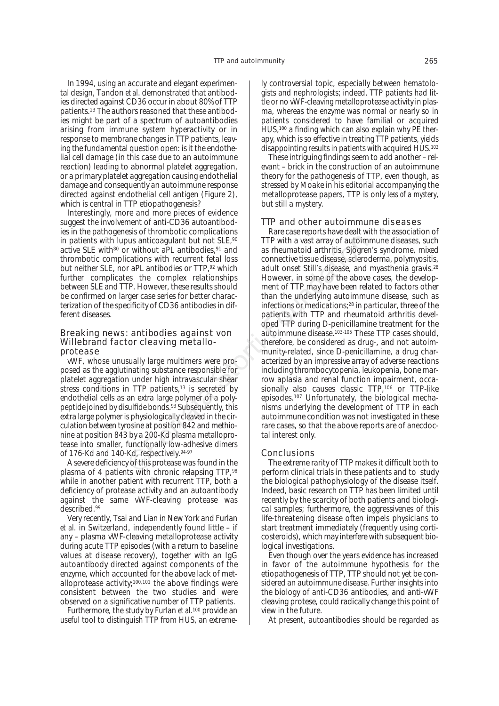In 1994, using an accurate and elegant experimental design, Tandon *et al*. demonstrated that antibodies directed against CD36 occur in about 80% of TTP patients.23 The authors reasoned that these antibodies might be part of a spectrum of autoantibodies arising from immune system hyperactivity or in response to membrane changes in TTP patients, leaving the fundamental question open: is it the endothelial cell damage (in this case due to an autoimmune reaction) leading to abnormal platelet aggregation, or a primary platelet aggregation causing endothelial damage and consequently an autoimmune response directed against endothelial cell antigen (Figure 2), which is central in TTP etiopathogenesis?

Interestingly, more and more pieces of evidence suggest the involvement of anti-CD36 autoantibodies in the pathogenesis of thrombotic complications in patients with lupus anticoagulant but not SLE, 90 active SLE with<sup>80</sup> or without aPL antibodies,<sup>91</sup> and thrombotic complications with recurrent fetal loss but neither SLE, nor aPL antibodies or TTP, 92 which further complicates the complex relationships between SLE and TTP. However, these results should be confirmed on larger case series for better characterization of the specificity of CD36 antibodies in different diseases.

#### Breaking news: antibodies against von Willebrand factor cleaving metalloprotease

vWF, whose unusually large multimers were proposed as the agglutinating substance responsible for platelet aggregation under high intravascular shear stress conditions in TTP patients,<sup>13</sup> is secreted by endothelial cells as an extra large polymer of a polypeptide joined by disulfide bonds.93 Subsequently, this extra large polymer is physiologically cleaved in the circulation between tyrosine at position 842 and methionine at position 843 by a 200-Kd plasma metalloprotease into smaller, functionally low-adhesive dimers of 176-Kd and 140-Kd, respectively.<sup>94-97</sup>

A severe deficiency of this protease was found in the plasma of 4 patients with chronic relapsing TTP, 98 while in another patient with recurrent TTP, both a deficiency of protease activity and an autoantibody against the same vWF-cleaving protease was described.99

Very recently, Tsai and Lian in New York and Furlan *et al.* in Switzerland, independently found little – if any – plasma vWF-cleaving metalloprotease activity during acute TTP episodes (with a return to baseline values at disease recovery), together with an IgG autoantibody directed against components of the enzyme, which accounted for the above lack of metalloprotease activity;<sup>100,101</sup> the above findings were consistent between the two studies and were observed on a significative number of TTP patients.

Furthermore, the study by Furlan *et al.*<sup>100</sup> provide an useful tool to distinguish TTP from HUS, an extremely controversial topic, especially between hematologists and nephrologists; indeed, TTP patients had little or no vWF-cleaving metalloprotease activity in plasma, whereas the enzyme was normal or nearly so in patients considered to have familial or acquired HUS,100 a finding which can also explain why PE therapy, which is so effective in treating TTP patients, yields disappointing results in patients with acquired HUS.102

These intriguing findings seem to add another – relevant – brick in the construction of an autoimmune theory for the pathogenesis of TTP, even though, as stressed by Moake in his editorial accompanying the metalloprotease papers, TTP is only *less of a mystery*, but still a mystery.

## TTP and other autoimmune diseases

Rare case reports have dealt with the association of TTP with a vast array of autoimmune diseases, such as rheumatoid arthritis, Sjögren's syndrome, mixed connective tissue disease, scleroderma, polymyositis, adult onset Still's disease, and myasthenia gravis.28 However, in some of the above cases, the development of TTP may have been related to factors other than the underlying autoimmune disease, such as infections or medications;28 in particular, three of the patients with TTP and rheumatoid arthritis developed TTP during D-penicillamine treatment for the autoimmune disease.103-105 These TTP cases should, therefore, be considered as drug-, and not autoimmunity-related, since D-penicillamine, a drug characterized by an impressive array of adverse reactions including thrombocytopenia, leukopenia, bone marrow aplasia and renal function impairment, occasionally also causes classic TTP,106 or TTP-like episodes.107 Unfortunately, the biological mechanisms underlying the development of TTP in each autoimmune condition was not investigated in these rare cases, so that the above reports are of anecdoctal interest only. by anticoagulant but not SLE,<sup>90</sup><br>
cations with ecurrent fetal loss<br>
carbox intervent fetal loss<br>
rapple antibodies or TTP,<sup>92</sup> which<br>
adult onset tissue disease, scletcomes the complex relationships<br>
rapple case series f

#### **Conclusions**

The extreme rarity of TTP makes it difficult both to perform clinical trials in these patients and to study the biological pathophysiology of the disease itself. Indeed, basic research on TTP has been limited until recently by the scarcity of both patients and biological samples; furthermore, the aggressivenes of this life-threatening disease often impels physicians to start treatment immediately (frequently using corticosteroids), which may interfere with subsequent biological investigations.

Even though over the years evidence has increased in favor of the autoimmune hypothesis for the etiopathogenesis of TTP, TTP should not yet be considered an autoimmune disease. Further insights into the biology of anti-CD36 antibodies, and anti-vWF cleaving protese, could radically change this point of view in the future.

At present, autoantibodies should be regarded as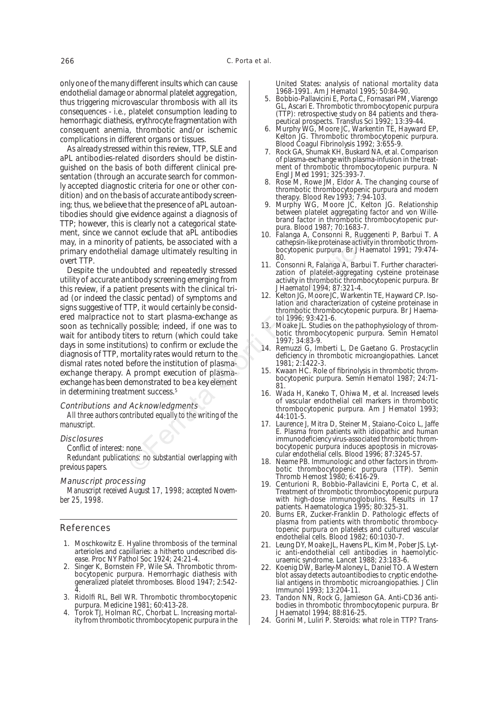only one of the many different insults which can cause endothelial damage or abnormal platelet aggregation, thus triggering microvascular thrombosis with all its consequences - i.e., platelet consumption leading to hemorrhagic diathesis, erythrocyte fragmentation with consequent anemia, thrombotic and/or ischemic complications in different organs or tissues.

As already stressed within this review, TTP, SLE and aPL antibodies-related disorders should be distinguished on the basis of both different clinical presentation (through an accurate search for commonly accepted diagnostic criteria for one or other condition) and on the basis of accurate antibody screening; thus, we believe that the presence of aPL autoantibodies should give evidence against a diagnosis of TTP; however, this is clearly not a categorical statement, since we cannot exclude that aPL antibodies may, in a minority of patients, be associated with a primary endothelial damage ultimately resulting in overt TTP.

Despite the undoubted and repeatedly stressed utility of accurate antibody screening emerging from this review, if a patient presents with the clinical triad (or indeed the classic pentad) of symptoms and signs suggestive of TTP, it would certainly be considered malpractice not to start plasma-exchange as soon as technically possible; indeed, if one was to wait for antibody titers to return (which could take days in some institutions) to confirm or exclude the diagnosis of TTP, mortality rates would return to the dismal rates noted before the institution of plasmaexchange therapy. A prompt execution of plasmaexchange has been demonstrated to be a key element in determining treatment success.<sup>5</sup> For exclude the mortal of the mortal of the mortal of patients, be associated with a<br>
of patients, be associated with a<br>
oubted and repeatedly stressed<br>
in the constrol of summarized the mortal of patient presents with the

# Contributions and Acknowledgments

*All three authors contributed equally to the writing of the manuscript.*

#### **Disclosures**

C*onflict of interest: none.*

*Redundant publications: no substantial overlapping with previous papers.*

## Manuscript processing

*Manuscript received August 17, 1998; accepted November 25, 1998.*

# References

- 1. Moschkowitz E. Hyaline thrombosis of the terminal arterioles and capillaries: a hitherto undescribed disease. Proc NY Pathol Soc 1924; 24:21-4.
- 2. Singer K, Bornstein FP, Wile SA. Thrombotic thrombocytopenic purpura. Hemorrhagic diathesis with generalized platelet thromboses. Blood 1947; 2:542- 4.
- 3. Ridolfi RL, Bell WR. Thrombotic thrombocytopenic purpura. Medicine 1981; 60:413-28.
- 4. Torok TJ, Holman RC, Chorbat L. Increasing mortality from thrombotic thrombocytopenic purpura in the

United States: analysis of national mortality data 1968-1991. Am J Hematol 1995; 50:84-90.

- 5. Bobbio-Pallavicini E, Porta C, Fornasari PM, Viarengo GL, Ascari E. Thrombotic thrombocytopenic purpura (TTP): retrospective study on 84 patients and therapeutical prospects. Transfus Sci 1992; 13:39-44.
- 6. Murphy WG, Moore JC, Warkentin TE, Hayward EP, Kelton JG. Thrombotic thrombocytopenic purpura. Blood Coagul Fibrinolysis 1992; 3:655-9.
- 7. Rock GA, Shumak KH, Buskard NA, et al. Comparison of plasma-exchange with plasma-infusion in the treatment of thrombotic thrombocytopenic purpura. N Engl J Med 1991; 325:393-7.
- 8. Rose M, Rowe JM, Eldor A. The changing course of thrombotic thrombocytopenic purpura and modern therapy. Blood Rev 1993; 7:94-103.
- 9. Murphy WG, Moore JC, Kelton JG. Relationship between platelet aggregating factor and von Willebrand factor in thrombotic thrombocytopenic purpura. Blood 1987; 70:1683-7.
- 10. Falanga A, Consonni R, Ruggenenti P, Barbui T. A cathepsin-like proteinase activity in thrombotic thrombocytopenic purpura. Br J Haematol 1991; 79:474-  $80<sup>2</sup>$
- 11. Consonni R, Falanga A, Barbui T. Further characterization of platelet-aggregating cysteine proteinase activity in thrombotic thrombocytopenic purpura. Br J Haematol 1994; 87:321-4.
- 12. Kelton JG, Moore JC, Warkentin TE, Hayward CP. Isolation and characterization of cysteine proteinase in thrombotic thrombocytopenic purpura. Br J Haematol 1996; 93:421-6.
- 13. Moake JL. Studies on the pathophysiology of thrombotic thrombocytopenic purpura. Semin Hematol 1997; 34:83-9.
- 14. Remuzzi G, Imberti L, De Gaetano G. Prostacyclin deficiency in thrombotic microangiopathies. Lancet 1981; 2:1422-3.
- 15. Kwaan HC. Role of fibrinolysis in thrombotic thrombocytopenic purpura. Semin Hematol 1987; 24:71- 81.
- 16. Wada H, Kaneko T, Ohiwa M, et al. Increased levels of vascular endothelial cell markers in thrombotic thrombocytopenic purpura. Am J Hematol 1993; 44:101-5.
- 17. Laurence J, Mitra D, Steiner M, Staiano-Coico L, Jaffe E. Plasma from patients with idiopathic and human immunodeficiency virus-associated thrombotic thrombocytopenic purpura induces apoptosis in microvascular endothelial cells. Blood 1996; 87:3245-57.
- Neame PB. Immunologic and other factors in thrombotic thrombocytopenic purpura (TTP). Semin Thromb Hemost 1980; 6:416-29.
- 19. Centurioni R, Bobbio-Pallavicini E, Porta C, et al. Treatment of thrombotic thrombocytopenic purpura with high-dose immunoglobulins. Results in 17 patients. Haematologica 1995; 80:325-31.
- 20. Burns ER, Zucker-Franklin D. Pathologic effects of plasma from patients with thrombotic thrombocytopenic purpura on platelets and cultured vascular endothelial cells. Blood 1982; 60:1030-7.
- 21. Leung DY, Moake JL, Havens PL, Kim M, Pober JS. Lytic anti-endothelial cell antibodies in haemolyticuraemic syndrome. Lancet 1988; 23:183-6.
- 22. Koenig DW, Barley-Maloney L, Daniel TO. A Western blot assay detects autoantibodies to cryptic endothelial antigens in thrombotic microangiopathies. J Clin Immunol 1993; 13:204-11.
- 23. Tandon NN, Rock G, Jamieson GA. Anti-CD36 antibodies in thrombotic thrombocytopenic purpura. Br J Haematol 1994; 88:816-25.
- 24. Gorini M, Luliri P. Steroids: what role in TTP? Trans-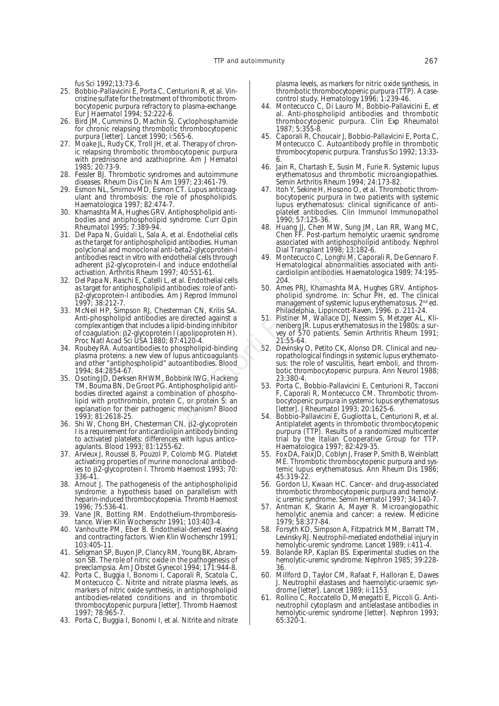fus Sci 1992;13:73-6.

- 25. Bobbio-Pallavicini E, Porta C, Centurioni R, et al. Vincristine sulfate for the treatment of thrombotic thrombocytopenic purpura refractory to plasma-exchange. Eur J Haematol 1994; 52:222-6.
- 26. Bird JM, Cummins D, Machin SJ. Cyclophosphamide for chronic relapsing thrombotic thrombocytopenic purpura [letter]. Lancet 1990; i:565-6.
- 27. Moake JL, Rudy CK, Troll JH, et al. Therapy of chronic relapsing thrombotic thrombocytopenic purpura with prednisone and azathioprine. Am J Hematol 1985; 20:73-9.
- 28. Fessler BJ. Thrombotic syndromes and autoimmune diseases. Rheum Dis Clin N Am 1997; 23:461-79.
- 29. Esmon NL, Smirnov MD, Esmon CT. Lupus anticoagulant and thrombosis: the role of phospholipids. Haematologica 1997; 82:474-7.
- 30. Khamashta MA, Hughes GRV. Antiphospholipid antibodies and antiphospholipid syndrome. Curr Opin Rheumatol 1995; 7:389-94.
- 31. Del Papa N, Guidali L, Sala A, et al. Endothelial cells as the target for antiphospholipid antibodies. Human polyclonal and monoclonal anti-beta2-glycoprotein-I antibodies react in vitro with endothelial cells through adherent b2-glycoprotein-I and induce endothelial activation. Arthritis Rheum 1997; 40:551-61.
- 32. Del Papa N, Raschi E, Catelli L, et al. Endothelial cells as target for antiphospholipid antibodies: role of antib2-glycoprotein-I antibodies. Am J Reprod Immunol 1997; 38:212-7.
- 33. McNeil HP, Simpson RJ, Chesterman CN, Krilis SA. Anti-phospholipid antibodies are directed against a complex antigen that includes a lipid-binding inhibitor of coagulation: β2-glycoprotein I (apolipoprotein H). Proc Natl Acad Sci USA 1880; 87:4120-4.
- 34. Roubey RA. Autoantibodies to phospholipid-binding plasma proteins: a new view of lupus anticoagulants and other "antiphospholipid" autoantibodies. Blood 1994; 84:2854-67.
- 35. Osoting JD, Derksen RHWM, Bobbink IWG, Hackeng TM, Bouma BN, De Groot PG. Antiphospholipid antibodies directed against a combination of phospholipid with prothrombin, protein C, or protein S: an explanation for their pathogenic mechanism? Blood 1993; 81:2618-25. Unit Coloral anti-bet all continent cents and the tend that a stocial and the tend of the tend of the tend of the tend of the tend of the tend of the tend of the maniphospholipid antibodies. Human associated with antiphosp
- 36. Shi W, Chong BH, Chesterman CN. b2-glycoprotein I is a requirement for anticardiolipin antibody binding to activated platelets: differences with lupus anticoagulants. Blood 1993; 81:1255-62.
- 37. Arvieux J, Roussel B, Pouzol P, Colomb MG. Platelet activating properties of murine monoclonal antibodies to b2-glycoprotein I. Thromb Haemost 1993; 70: 336-41.
- 38. Arnout J. The pathogenesis of the antiphospholipid syndrome: a hypothesis based on parallelism with heparin-induced thrombocytopenia. Thromb Haemost 1996; 75:536-41.
- 39. Vane JR, Botting RM. Endothelium-thromboresistance. Wien Klin Wochenschr 1991; 103:403-4.
- 40. Vanhoutte PM, Eber B. Endothelial-derived relaxing and contracting factors. Wien Klin Wochenschr 1991; 103:405-11.
- 41. Seligman SP, Buyon JP, Clancy RM, Young BK, Abramson SB. The role of nitric oxide in the pathogenesis of preeclampsia. Am J Obstet Gynecol 1994; 171:944-8.
- 42. Porta C, Buggia I, Bonomi I, Caporali R, Scatola C, Montecucco C. Nitrite and nitrate plasma levels, as markers of nitric oxide synthesis, in antiphospholipid antibodies-related conditions and in thrombotic thrombocytopenic purpura [letter]. Thromb Haemost 1997; 78:965-7.
- 43. Porta C, Buggia I, Bonomi I, et al. Nitrite and nitrate

plasma levels, as markers for nitric oxide synthesis, in thrombotic thrombocytopenic purpura (TTP). A casecontrol study. Hematology 1996; 1:239-46.

- 44. Montecucco C, Di Lauro M, Bobbio-Pallavicini E, et al. Anti-phospholipid antibodies and thrombotic thrombocytopenic purpura. Clin Exp Rheumatol 1987; 5:355-8.
- 45. Caporali R, Choucair J, Bobbio-Pallavicini E, Porta C, Montecucco C. Autoantibody profile in thrombotic thrombocytopenic purpura. Transfus Sci 1992; 13:33- 6.
- 46. Jain R, Chartash E, Susin M, Furie R. Systemic lupus erythematosus and thrombotic microangiopathies. Semin Arthritis Rheum 1994; 24:173-82.
- 47. Itoh Y, Sekine H, Hosono O, et al. Thrombotic thrombocytopenic purpura in two patients with systemic lupus erythematosus: clinical significance of antiplatelet antibodies. Clin Immunol Immunopathol 1990; 57:125-36.
- 48. Huang JJ, Chen MW, Sung JM, Lan RR, Wang MC, Chen FF. Post-partum hemolytic uraemic syndrome associated with antiphospholipid antibody. Nephrol Dial Transplant 1998; 13:182-6.
- 49. Montecucco C, Longhi M, Caporali R, De Gennaro F. Hematological abnormalities associated with anticardiolipin antibodies. Haematologica 1989; 74:195- 204.
- 50. Ames PRJ, Khamashta MA, Hughes GRV. Antiphospholipid syndrome. In: Schur PH, ed. The clinical management of systemic lupus erythematosus. 2<sup>nd</sup> ed. Philadelphia, Lippincott-Raven, 1996. p. 211-24.
- 51. Pistiner M, Wallace DJ, Nessim S, Metzger AL, Klinenberg JR. Lupus erythematosus in the 1980s: a survey of 570 patients. Semin Arthritis Rheum 1991; 21:55-64.
- 52. Devinsky O, Petito CK, Alonso DR. Clinical and neuropathological findings in systemic lupus erythematosus: the role of vasculitis, heart emboli, and thrombotic thrombocytopenic purpura. Ann Neurol 1988; 23:380-4.
- 53. Porta C, Bobbio-Pallavicini E, Centurioni R, Tacconi F, Caporali R, Montecucco CM. Thrombotic thrombocytopenic purpura in systemic lupus erythematosus [letter]. J Rheumatol 1993; 20:1625-6.
- 54. Bobbio-Pallavicini E, Gugliotta L, Centurioni R, et al. Antiplatelet agents in thrombotic thrombocytopenic purpura (TTP). Results of a randomized multicenter trial by the Italian Cooperative Group for TTP. Haematologica 1997; 82:429-35.
- 55. Fox DA, Faix JD, Coblyn J, Fraser P, Smith B, Weinblatt ME. Thrombotic thrombocytopenic purpura and systemic lupus erythematosus. Ann Rheum Dis 1986; 45:319-22.
- 56. Gordon LI, Kwaan HC. Cancer- and drug-associated thrombotic thrombocytopenic purpura and hemolytic uremic syndrome. Semin Hematol 1997; 34:140-7.
- 57. Antman K, Skarin A, Mayer R. Microangiopathic hemolytic anemia and cancer: a review. Medicine 1979; 58:377-84.
- 58. Forsyth KD, Simpson A, Fitzpatrick MM, Barratt TM, Levinsky RJ. Neutrophil-mediated endothelial injury in hemolytic-uremic syndrome. Lancet 1989; i:411-4.
- 59. Bolande RP, Kaplan BS. Experimental studies on the hemolytic-uremic syndrome. Nephron 1985; 39:228- 36.
- 60. Millford D, Taylor CM, Rafaat F, Halloran E, Dawes J. Neutrophil elastases and haemolytic-uraemic syndrome [letter]. Lancet 1989; ii:1153
- 61. Rollino C, Roccatello D, Menegatti E, Piccoli G. Antineutrophil cytoplasm and antielastase antibodies in hemolytic-uremic syndrome [letter]. Nephron 1993; 65:320-1.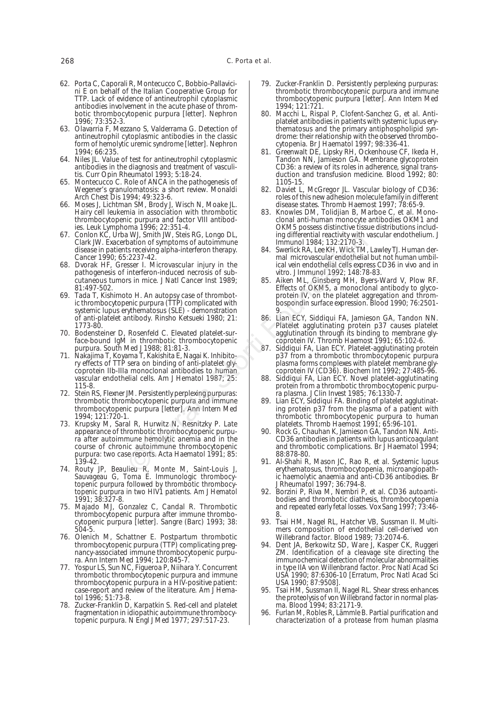- 62. Porta C, Caporali R, Montecucco C, Bobbio-Pallavicini E on behalf of the Italian Cooperative Group for TTP. Lack of evidence of antineutrophil cytoplasmic antibodies involvement in the acute phase of thrombotic thrombocytopenic purpura [letter]. Nephron 1996; 73:352-3.
- 63. Olavarria F, Mezzano S, Valderrama G. Detection of antineutrophil cytoplasmic antibodies in the classic form of hemolytic uremic syndrome [letter]. Nephron 1994; 66:235.
- 64. Niles JL. Value of test for antineutrophil cytoplasmic antibodies in the diagnosis and treatment of vasculitis. Curr Opin Rheumatol 1993; 5:18-24.
- 65. Montecucco C. Role of ANCA in the pathogenesis of Wegener's granulomatosis: a short review. Monaldi Arch Chest Dis 1994; 49:323-6.
- 66. Moses J, Lichtman SM, Brody J, Wisch N, Moake JL. Hairy cell leukemia in association with thrombotic thrombocytopenic purpura and factor VIII antibodies. Leuk Lymphoma 1996; 22:351-4.
- 67. Conlon KC, Urba WJ, Smith JW, Steis RG, Longo DL, Clark JW. Exacerbation of symptoms of autoimmune disease in patients receiving alpha-interferon therapy. Cancer 1990; 65:2237-42.
- 68. Dvorak HF, Gresser I. Microvascular injury in the pathogenesis of interferon-induced necrosis of subcutaneous tumors in mice. J Natl Cancer Inst 1989; 81:497-502.
- 69. Tada T, Kishimoto H. An autopsy case of thrombotic thrombocytopenic purpura (TTP) complicated with systemic lupus erythematosus (SLE) - demonstration of anti-platelet antibody. Rinsho Ketsueki 1980; 21: 1773-80.
- 70. Bodensteiner D, Rosenfeld C. Elevated platelet-surface-bound IgM in thrombotic thrombocytopenic purpura. South Med J 1988; 81:81-3.
- 71. Nakajima T, Koyama T, Kakishita E, Nagai K. Inhibitory effects of TTP sera on binding of anti-platelet glycoprotein IIb-IIIa monoclonal antibodies to human vascular endothelial cells. Am J Hematol 1987; 25: 115-8.
- 72. Stein RS, Flexner JM. Persistently perplexing purpuras: thrombotic thrombocytopenic purpura and immune thrombocytopenic purpura [letter]. Ann Intern Med 1994; 121:720-1.
- 73. Krupsky M, Saral R, Hurwitz N, Resnitzky P. Late appearance of thrombotic thrombocytopenic purpura after autoimmune hemolytic anemia and in the course of chronic autoimmune thrombocytopenic purpura: two case reports. Acta Haematol 1991; 85: 139-42. Notion of symptoms of automous through an intervention of symptoms of automous control<br>
bation of symptoms of automous controlling and the case in the case of the storting and all the storting and all the storting the case
- 74. Routy JP, Beaulieu R, Monte M, Saint-Louis J, Sauvageau G, Toma E. Immunologic thrombocytopenic purpura followed by thrombotic thrombocytopenic purpura in two HIV1 patients. Am J Hematol 1991; 38:327-8.
- 75. Majado MJ, Gonzalez C, Candal R. Thrombotic thrombocytopenic purpura after immune thrombocytopenic purpura [letter]. Sangre (Barc) 1993; 38: 504-5.
- 76. Olenich M, Schattner E. Postpartum thrombotic thrombocytopenic purpura (TTP) complicating pregnancy-associated immune thrombocytopenic purpura. Ann Intern Med 1994; 120:845-7.
- 77. Yospur LS, Sun NC, Figueroa P, Niihara Y. Concurrent thrombotic thrombocytopenic purpura and immune thrombocytopenic purpura in a HIV-positive patient: case-report and review of the literature. Am J Hematol 1996; 51:73-8.
- 78. Zucker-Franklin D, Karpatkin S. Red-cell and platelet fragmentation in idiopathic autoimmune thrombocytopenic purpura. N Engl J Med 1977; 297:517-23.
- 79. Zucker-Franklin D. Persistently perplexing purpuras: thrombotic thrombocytopenic purpura and immune thrombocytopenic purpura [letter]. Ann Intern Med 1994; 121:721.
- 80. Macchi L, Rispal P, Clofent-Sanchez G, et al. Antiplatelet antibodies in patients with systemic lupus erythematosus and the primary antiphospholipid syndrome: their relationship with the observed thrombocytopenia. Br J Haematol 1997; 98:336-41.
- 81. Greenwalt DE, Lipsky RH, Ockenhouse CF, Ikeda H, Tandon NN, Jamieson GA. Membrane glycoprotein CD36: a review of its roles in adherence, signal transduction and transfusion medicine. Blood 1992; 80: 1105-15.
- 82. Daviet L, McGregor JL. Vascular biology of CD36: roles of this new adhesion molecule family in different disease states. Thromb Haemost 1997; 78:65-9.
- 83. Knowles DM, Tolidjian B, Marboe C, et al. Monoclonal anti-human monocyte antibodies OKM1 and OKM5 possess distinctive tissue distributions including differential reactivity with vascular endothelium. J Immunol 1984; 132:2170-3.
- 84. Swerlick RA, Lee KH, Wick TM, Lawley TJ. Human dermal microvascular endothelial but not human umbilical vein endothelial cells express CD36 in vivo and in vitro. J Immunol 1992; 148:78-83.
- 85. Aiken ML, Ginsberg MH, Byers-Ward V, Plow RF. Effects of OKM5, a monoclonal antibody to glycoprotein IV, on the platelet aggregation and thrombospondin surface expression. Blood 1990; 76:2501- 9.
- 86. Lian ECY, Siddiqui FA, Jamieson GA, Tandon NN. Platelet agglutinating protein p37 causes platelet agglutination through its binding to membrane glycoprotein IV. Thromb Haemost 1991; 65:102-6.
- 87. Siddiqui FA, Lian ECY. Platelet-agglutinating protein p37 from a thrombotic thrombocytopenic purpura plasma forms complexes with platelet membrane glycoprotein IV (CD36). Biochem Int 1992; 27:485-96.
- 88. Siddiqui FA, Lian ECY. Novel platelet-agglutinating protein from a thrombotic thrombocytopenic purpura plasma. J Clin Invest 1985; 76:1330-7.
- 89. Lian ECY, Siddiqui FA. Binding of platelet agglutinating protein p37 from the plasma of a patient with thrombotic thrombocytopenic purpura to human platelets. Thromb Haemost 1991; 65:96-101.
- 90. Rock G, Chauhan K, Jamieson GA, Tandon NN. Anti-CD36 antibodies in patients with lupus anticoagulant and thrombotic complications. Br J Haematol 1994; 88:878-80.
- 91. Al-Shahi R, Mason JC, Rao R, et al. Systemic lupus erythematosus, thrombocytopenia, microangiopathic haemolytic anaemia and anti-CD36 antibodies. Br J Rheumatol 1997; 36:794-8.
- 92. Borzini P, Riva M, Nembri P, et al. CD36 autoantibodies and thrombotic diathesis, thrombocytopenia and repeated early fetal losses. Vox Sang 1997; 73:46- 8.
- 93. Tsai HM, Nagel RL, Hatcher VB, Sussman II. Multimers composition of endothelial cell-derived von Willebrand factor. Blood 1989; 73:2074-6.
- 94. Dent JA, Berkowitz SD, Ware J, Kasper CK, Ruggeri ZM. Identification of a cleavage site directing the immunochemical detection of molecular abnormalities in type IIA von Willenbrand factor. Proc Natl Acad Sci USA 1990; 87:6306-10 [Erratum, Proc Natl Acad Sci USA 1990; 87:9508].
- 95. Tsai HM, Sussman II, Nagel RL. Shear stress enhances the proteolysis of von Willebrand factor in normal plasma. Blood 1994; 83:2171-9.
- 96. Furlan M, Robles R, Lämmle B. Partial purification and characterization of a protease from human plasma